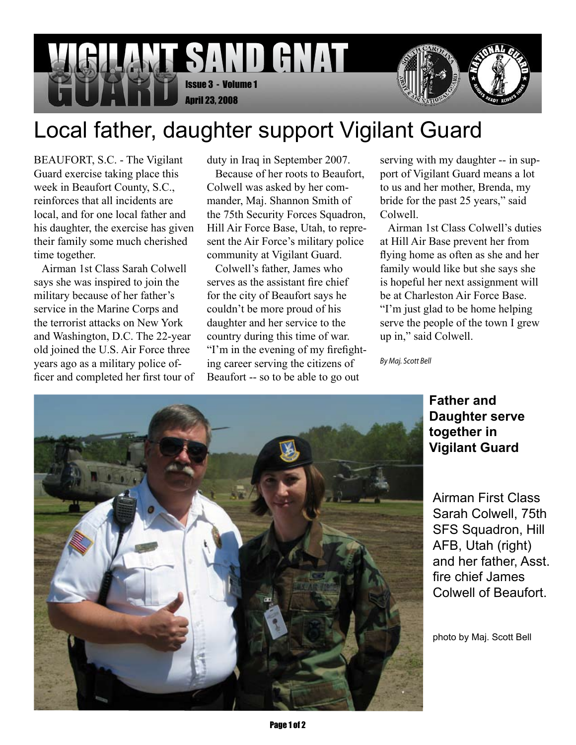

## Local father, daughter support Vigilant Guard

BEAUFORT, S.C. - The Vigilant Guard exercise taking place this week in Beaufort County, S.C., reinforces that all incidents are local, and for one local father and his daughter, the exercise has given their family some much cherished time together.

 Airman 1st Class Sarah Colwell says she was inspired to join the military because of her father's service in the Marine Corps and the terrorist attacks on New York and Washington, D.C. The 22-year old joined the U.S. Air Force three years ago as a military police officer and completed her first tour of duty in Iraq in September 2007.

 Because of her roots to Beaufort, Colwell was asked by her commander, Maj. Shannon Smith of the 75th Security Forces Squadron, Hill Air Force Base, Utah, to represent the Air Force's military police community at Vigilant Guard.

 Colwell's father, James who serves as the assistant fire chief for the city of Beaufort says he couldn't be more proud of his daughter and her service to the country during this time of war. "I'm in the evening of my firefighting career serving the citizens of Beaufort -- so to be able to go out

serving with my daughter -- in support of Vigilant Guard means a lot to us and her mother, Brenda, my bride for the past 25 years," said Colwell.

 Airman 1st Class Colwell's duties at Hill Air Base prevent her from flying home as often as she and her family would like but she says she is hopeful her next assignment will be at Charleston Air Force Base. "I'm just glad to be home helping serve the people of the town I grew up in," said Colwell.

*By Maj. Scott Bell*



**Father and Daughter serve together in Vigilant Guard**

Airman First Class Sarah Colwell, 75th SFS Squadron, Hill AFB, Utah (right) and her father, Asst. fire chief James Colwell of Beaufort.

photo by Maj. Scott Bell